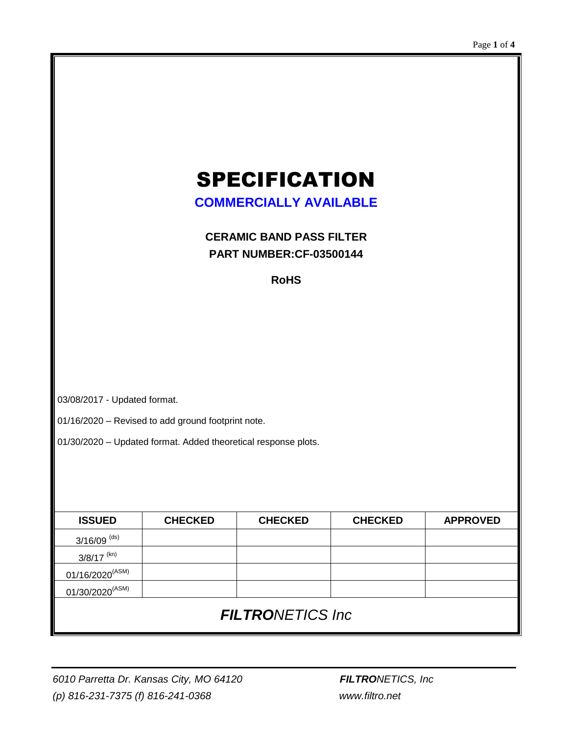# SPECIFICATION

**COMMERCIALLY AVAILABLE**

**CERAMIC BAND PASS FILTER PART NUMBER:CF-03500144**

**RoHS**

03/08/2017 - Updated format.

01/16/2020 – Revised to add ground footprint note.

01/30/2020 – Updated format. Added theoretical response plots.

| <b>ISSUED</b>               | <b>CHECKED</b> | <b>CHECKED</b> | <b>CHECKED</b> | <b>APPROVED</b> |  |
|-----------------------------|----------------|----------------|----------------|-----------------|--|
| $3/16/09$ (ds)              |                |                |                |                 |  |
| $3/8/17$ <sup>(kn)</sup>    |                |                |                |                 |  |
| $01/16/2020^{(ASM)}$        |                |                |                |                 |  |
| 01/30/2020 <sup>(ASM)</sup> |                |                |                |                 |  |
| <b>FILTRONETICS Inc.</b>    |                |                |                |                 |  |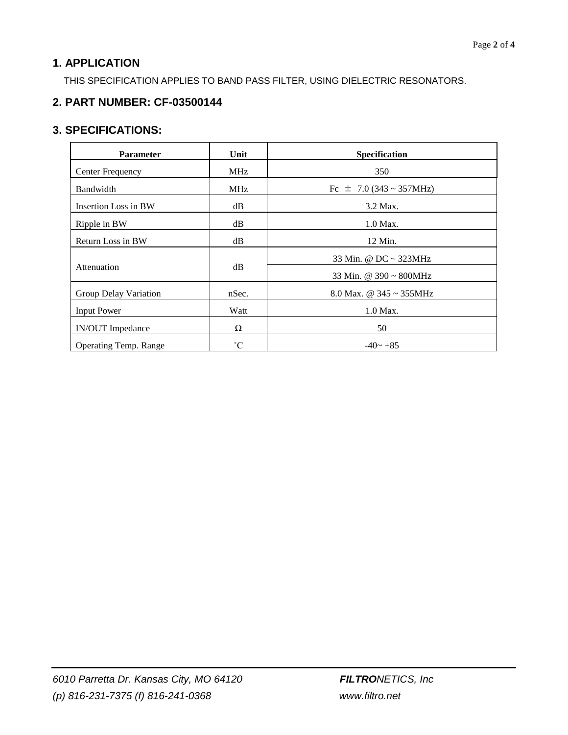## **1. APPLICATION**

THIS SPECIFICATION APPLIES TO BAND PASS FILTER, USING DIELECTRIC RESONATORS.

### **2. PART NUMBER: CF-03500144**

#### **3. SPECIFICATIONS:**

| <b>Parameter</b>             | Unit        | Specification                 |  |
|------------------------------|-------------|-------------------------------|--|
| <b>Center Frequency</b>      | <b>MHz</b>  | 350                           |  |
| Bandwidth                    | <b>MHz</b>  | Fc $\pm$ 7.0 (343 ~ 357MHz)   |  |
| <b>Insertion Loss in BW</b>  | dB          | 3.2 Max.                      |  |
| Ripple in BW                 | dB          | $1.0$ Max.                    |  |
| Return Loss in BW            | dB          | 12 Min.                       |  |
|                              | dB          | 33 Min. @ DC ~ 323MHz         |  |
| Attenuation                  |             | 33 Min. @ $390 \sim 800$ MHz  |  |
| Group Delay Variation        | nSec.       | 8.0 Max. @ $345 \sim 355$ MHz |  |
| <b>Input Power</b>           | Watt        | 1.0 Max.                      |  |
| <b>IN/OUT</b> Impedance      | Ω           | 50                            |  |
| <b>Operating Temp. Range</b> | $^{\circ}C$ | $-40 - +85$                   |  |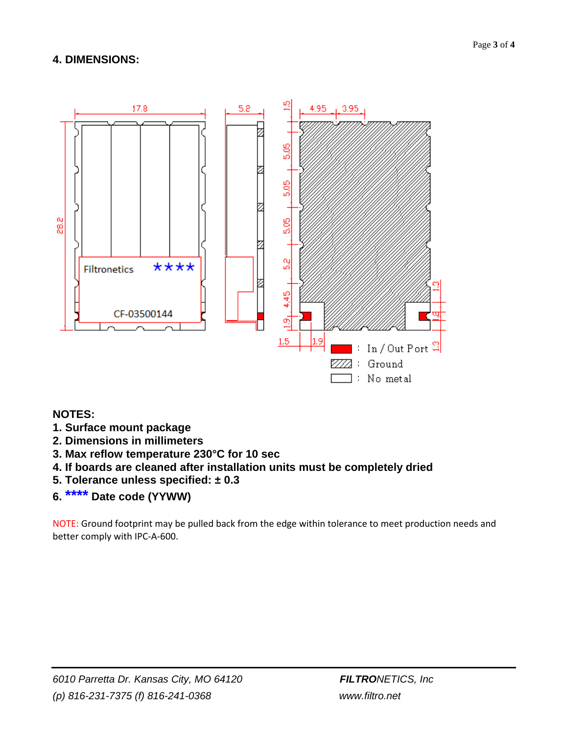#### **4. DIMENSIONS:**



#### **NOTES:**

- **1. Surface mount package**
- **2. Dimensions in millimeters**
- **3. Max reflow temperature 230°C for 10 sec**
- **4. If boards are cleaned after installation units must be completely dried**
- **5. Tolerance unless specified: ± 0.3**
- **6. \*\*\*\* Date code (YYWW)**

NOTE: Ground footprint may be pulled back from the edge within tolerance to meet production needs and better comply with IPC-A-600.